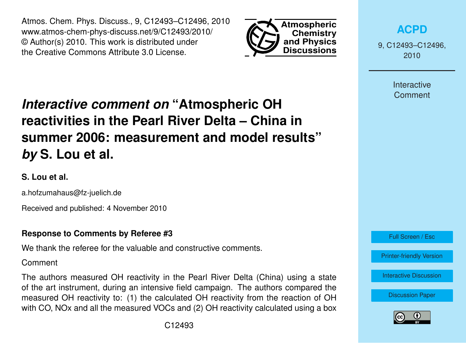Atmos. Chem. Phys. Discuss., 9, C12493–C12496, 2010 www.atmos-chem-phys-discuss.net/9/C12493/2010/ © Author(s) 2010. This work is distributed under the Creative Commons Attribute 3.0 License.



*Interactive comment on* **"Atmospheric OH reactivities in the Pearl River Delta – China in summer 2006: measurement and model results"** *by* **S. Lou et al.**

# **S. Lou et al.**

a.hofzumahaus@fz-juelich.de

Received and published: 4 November 2010

# **Response to Comments by Referee #3**

We thank the referee for the valuable and constructive comments.

Comment

The authors measured OH reactivity in the Pearl River Delta (China) using a state of the art instrument, during an intensive field campaign. The authors compared the measured OH reactivity to: (1) the calculated OH reactivity from the reaction of OH with CO, NOx and all the measured VOCs and (2) OH reactivity calculated using a box



9, C12493–C12496, 2010

> Interactive **Comment**



[Printer-friendly Version](http://www.atmos-chem-phys-discuss.net/9/C12493/2010/acpd-9-C12493-2010-print.pdf)

[Interactive Discussion](http://www.atmos-chem-phys-discuss.net/9/17035/2009/acpd-9-17035-2009-discussion.html)

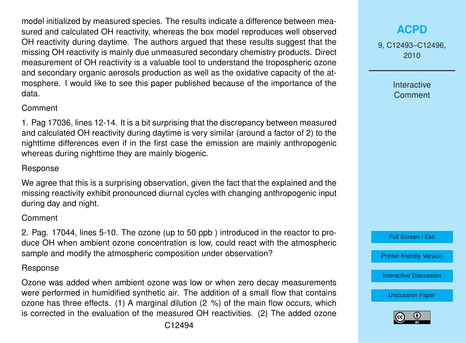model initialized by measured species. The results indicate a difference between measured and calculated OH reactivity, whereas the box model reproduces well observed OH reactivity during daytime. The authors argued that these results suggest that the missing OH reactivity is mainly due unmeasured secondary chemistry products. Direct measurement of OH reactivity is a valuable tool to understand the tropospheric ozone and secondary organic aerosols production as well as the oxidative capacity of the atmosphere. I would like to see this paper published because of the importance of the data.

## **Comment**

1. Pag 17036, lines 12-14. It is a bit surprising that the discrepancy between measured and calculated OH reactivity during daytime is very similar (around a factor of 2) to the nighttime differences even if in the first case the emission are mainly anthropogenic whereas during nighttime they are mainly biogenic.

## Response

We agree that this is a surprising observation, given the fact that the explained and the missing reactivity exhibit pronounced diurnal cycles with changing anthropogenic input during day and night.

## **Comment**

2. Pag. 17044, lines 5-10. The ozone (up to 50 ppb ) introduced in the reactor to produce OH when ambient ozone concentration is low, could react with the atmospheric sample and modify the atmospheric composition under observation?

### Response

Ozone was added when ambient ozone was low or when zero decay measurements were performed in humidified synthetic air. The addition of a small flow that contains ozone has three effects. (1) A marginal dilution (2 %) of the main flow occurs, which is corrected in the evaluation of the measured OH reactivities. (2) The added ozone 9, C12493–C12496, 2010

> Interactive **Comment**



[Printer-friendly Version](http://www.atmos-chem-phys-discuss.net/9/C12493/2010/acpd-9-C12493-2010-print.pdf)

[Interactive Discussion](http://www.atmos-chem-phys-discuss.net/9/17035/2009/acpd-9-17035-2009-discussion.html)

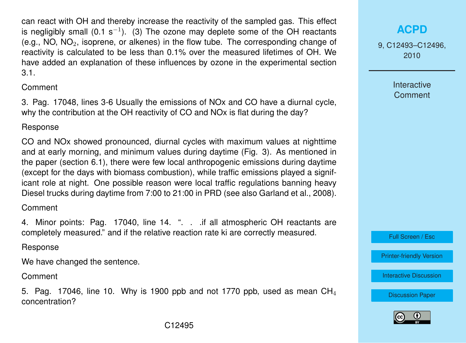can react with OH and thereby increase the reactivity of the sampled gas. This effect is negligibly small (0.1 s<sup>-1</sup>). (3) The ozone may deplete some of the OH reactants (e.g., NO,  $NO<sub>2</sub>$ , isoprene, or alkenes) in the flow tube. The corresponding change of reactivity is calculated to be less than 0.1% over the measured lifetimes of OH. We have added an explanation of these influences by ozone in the experimental section 3.1.

### Comment

3. Pag. 17048, lines 3-6 Usually the emissions of NOx and CO have a diurnal cycle, why the contribution at the OH reactivity of CO and NOx is flat during the day?

## Response

CO and NOx showed pronounced, diurnal cycles with maximum values at nighttime and at early morning, and minimum values during daytime (Fig. 3). As mentioned in the paper (section 6.1), there were few local anthropogenic emissions during daytime (except for the days with biomass combustion), while traffic emissions played a significant role at night. One possible reason were local traffic regulations banning heavy Diesel trucks during daytime from 7:00 to 21:00 in PRD (see also Garland et al., 2008).

# Comment

4. Minor points: Pag. 17040, line 14. ". . .if all atmospheric OH reactants are completely measured." and if the relative reaction rate ki are correctly measured.

# Response

We have changed the sentence.

Comment

5. Pag. 17046, line 10. Why is 1900 ppb and not 1770 ppb, used as mean  $CH<sub>4</sub>$ concentration?

9, C12493–C12496, 2010

> Interactive **Comment**

Full Screen / Esc

[Printer-friendly Version](http://www.atmos-chem-phys-discuss.net/9/C12493/2010/acpd-9-C12493-2010-print.pdf)

[Interactive Discussion](http://www.atmos-chem-phys-discuss.net/9/17035/2009/acpd-9-17035-2009-discussion.html)